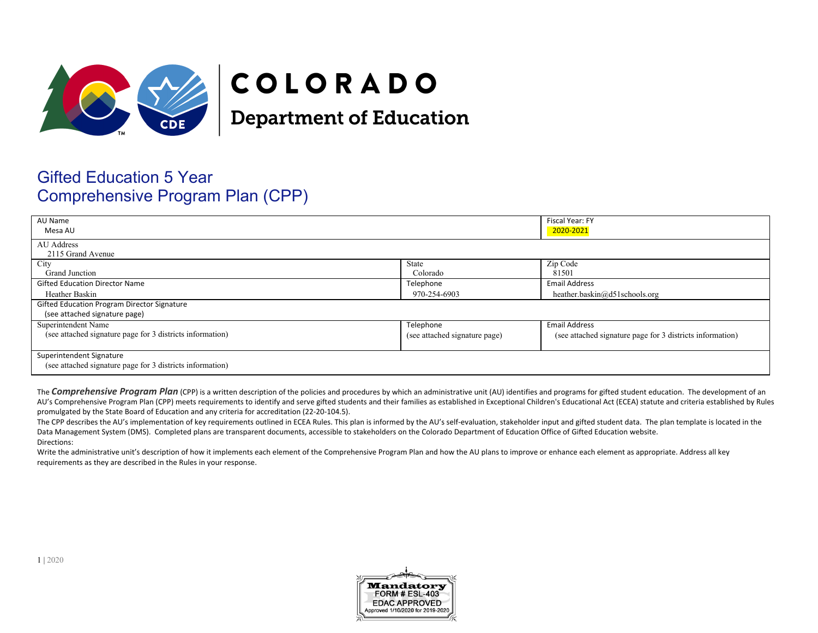

# COLORADO

**Department of Education** 

# Gifted Education 5 Year Comprehensive Program Plan (CPP)

| AU Name<br>Mesa AU                                        |                               | Fiscal Year: FY<br>2020-2021                              |
|-----------------------------------------------------------|-------------------------------|-----------------------------------------------------------|
| AU Address<br>2115 Grand Avenue                           |                               |                                                           |
| City                                                      | State                         | Zip Code                                                  |
| Grand Junction                                            | Colorado                      | 81501                                                     |
| <b>Gifted Education Director Name</b>                     | Telephone                     | <b>Email Address</b>                                      |
| Heather Baskin                                            | 970-254-6903                  | heather.baskin@d51schools.org                             |
| Gifted Education Program Director Signature               |                               |                                                           |
| (see attached signature page)                             |                               |                                                           |
| Superintendent Name                                       | Telephone                     | <b>Email Address</b>                                      |
| (see attached signature page for 3 districts information) | (see attached signature page) | (see attached signature page for 3 districts information) |
|                                                           |                               |                                                           |
| Superintendent Signature                                  |                               |                                                           |
| (see attached signature page for 3 districts information) |                               |                                                           |

The **Comprehensive Program Plan** (CPP) is a written description of the policies and procedures by which an administrative unit (AU) identifies and programs for gifted student education. The development of an AU's Comprehensive Program Plan (CPP) meets requirements to identify and serve gifted students and their families as established in Exceptional Children's Educational Act (ECEA) statute and criteria established by Rules promulgated by the State Board of Education and any criteria for accreditation (22-20-104.5).

The CPP describes the AU's implementation of key requirements outlined in ECEA Rules. This plan is informed by the AU's self-evaluation, stakeholder input and gifted student data. The plan template is located in the Data Management System (DMS). Completed plans are transparent documents, accessible to stakeholders on the Colorado Department of Education Office of Gifted Education website. Directions:

Write the administrative unit's description of how it implements each element of the Comprehensive Program Plan and how the AU plans to improve or enhance each element as appropriate. Address all key requirements as they are described in the Rules in your response.

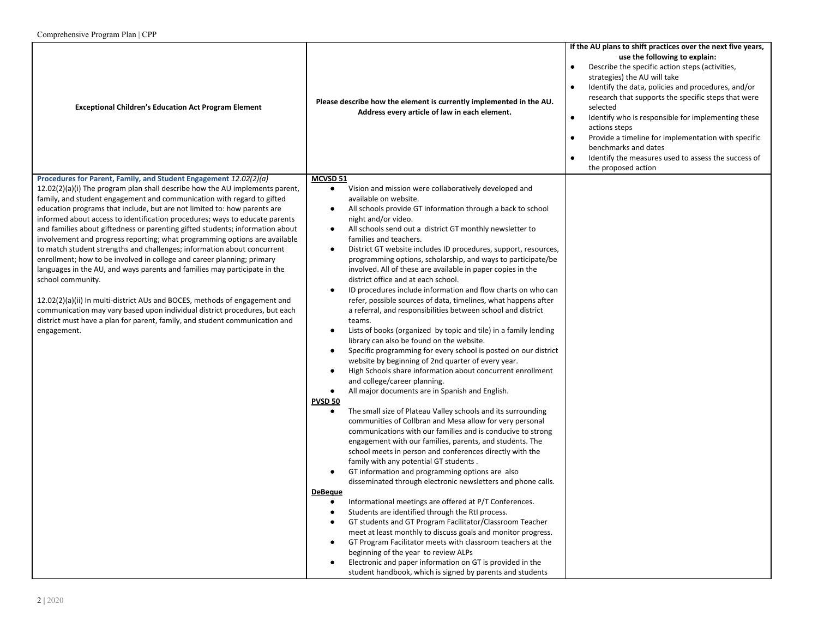| <b>Exceptional Children's Education Act Program Element</b>                                                                                                                                                                                                                                                                                                                                                                                                                                                                                                                                                                                                                                                                                                                                                                                                                                                                                                                                                                                                              | Please describe how the element is currently implemented in the AU.<br>Address every article of law in each element.                                                                                                                                                                                                                                                                                                                                                                                                                                                                                                                                                                                                                                                                                                                                                                                                                                                                                                                                                                                                                                                                                                                                                                                                                                                                                                                                                                                                                                                                                                                                                                                                                                                                                                                                                                                                                                                                                                                                                                                                                                                                                                                                                      | If the AU plans to shift practices over the next five years,<br>use the following to explain:<br>Describe the specific action steps (activities,<br>$\bullet$<br>strategies) the AU will take<br>Identify the data, policies and procedures, and/or<br>$\bullet$<br>research that supports the specific steps that were<br>selected<br>Identify who is responsible for implementing these<br>$\bullet$<br>actions steps<br>$\bullet$<br>Provide a timeline for implementation with specific<br>benchmarks and dates<br>Identify the measures used to assess the success of<br>$\bullet$<br>the proposed action |
|--------------------------------------------------------------------------------------------------------------------------------------------------------------------------------------------------------------------------------------------------------------------------------------------------------------------------------------------------------------------------------------------------------------------------------------------------------------------------------------------------------------------------------------------------------------------------------------------------------------------------------------------------------------------------------------------------------------------------------------------------------------------------------------------------------------------------------------------------------------------------------------------------------------------------------------------------------------------------------------------------------------------------------------------------------------------------|---------------------------------------------------------------------------------------------------------------------------------------------------------------------------------------------------------------------------------------------------------------------------------------------------------------------------------------------------------------------------------------------------------------------------------------------------------------------------------------------------------------------------------------------------------------------------------------------------------------------------------------------------------------------------------------------------------------------------------------------------------------------------------------------------------------------------------------------------------------------------------------------------------------------------------------------------------------------------------------------------------------------------------------------------------------------------------------------------------------------------------------------------------------------------------------------------------------------------------------------------------------------------------------------------------------------------------------------------------------------------------------------------------------------------------------------------------------------------------------------------------------------------------------------------------------------------------------------------------------------------------------------------------------------------------------------------------------------------------------------------------------------------------------------------------------------------------------------------------------------------------------------------------------------------------------------------------------------------------------------------------------------------------------------------------------------------------------------------------------------------------------------------------------------------------------------------------------------------------------------------------------------------|----------------------------------------------------------------------------------------------------------------------------------------------------------------------------------------------------------------------------------------------------------------------------------------------------------------------------------------------------------------------------------------------------------------------------------------------------------------------------------------------------------------------------------------------------------------------------------------------------------------|
| Procedures for Parent, Family, and Student Engagement 12.02(2)(a)<br>$12.02(2)(a)(i)$ The program plan shall describe how the AU implements parent,<br>family, and student engagement and communication with regard to gifted<br>education programs that include, but are not limited to: how parents are<br>informed about access to identification procedures; ways to educate parents<br>and families about giftedness or parenting gifted students; information about<br>involvement and progress reporting; what programming options are available<br>to match student strengths and challenges; information about concurrent<br>enrollment; how to be involved in college and career planning; primary<br>languages in the AU, and ways parents and families may participate in the<br>school community.<br>12.02(2)(a)(ii) In multi-district AUs and BOCES, methods of engagement and<br>communication may vary based upon individual district procedures, but each<br>district must have a plan for parent, family, and student communication and<br>engagement. | MCVSD 51<br>Vision and mission were collaboratively developed and<br>available on website.<br>All schools provide GT information through a back to school<br>$\bullet$<br>night and/or video.<br>All schools send out a district GT monthly newsletter to<br>$\bullet$<br>families and teachers.<br>District GT website includes ID procedures, support, resources,<br>$\bullet$<br>programming options, scholarship, and ways to participate/be<br>involved. All of these are available in paper copies in the<br>district office and at each school.<br>ID procedures include information and flow charts on who can<br>$\bullet$<br>refer, possible sources of data, timelines, what happens after<br>a referral, and responsibilities between school and district<br>teams.<br>Lists of books (organized by topic and tile) in a family lending<br>$\bullet$<br>library can also be found on the website.<br>Specific programming for every school is posted on our district<br>$\bullet$<br>website by beginning of 2nd quarter of every year.<br>High Schools share information about concurrent enrollment<br>and college/career planning.<br>$\bullet$<br>All major documents are in Spanish and English.<br><b>PVSD 50</b><br>The small size of Plateau Valley schools and its surrounding<br>$\bullet$<br>communities of Collbran and Mesa allow for very personal<br>communications with our families and is conducive to strong<br>engagement with our families, parents, and students. The<br>school meets in person and conferences directly with the<br>family with any potential GT students.<br>GT information and programming options are also<br>disseminated through electronic newsletters and phone calls.<br><b>DeBeque</b><br>Informational meetings are offered at P/T Conferences.<br>$\bullet$<br>Students are identified through the RtI process.<br>٠<br>GT students and GT Program Facilitator/Classroom Teacher<br>$\bullet$<br>meet at least monthly to discuss goals and monitor progress.<br>GT Program Facilitator meets with classroom teachers at the<br>$\bullet$<br>beginning of the year to review ALPs<br>Electronic and paper information on GT is provided in the<br>student handbook, which is signed by parents and students |                                                                                                                                                                                                                                                                                                                                                                                                                                                                                                                                                                                                                |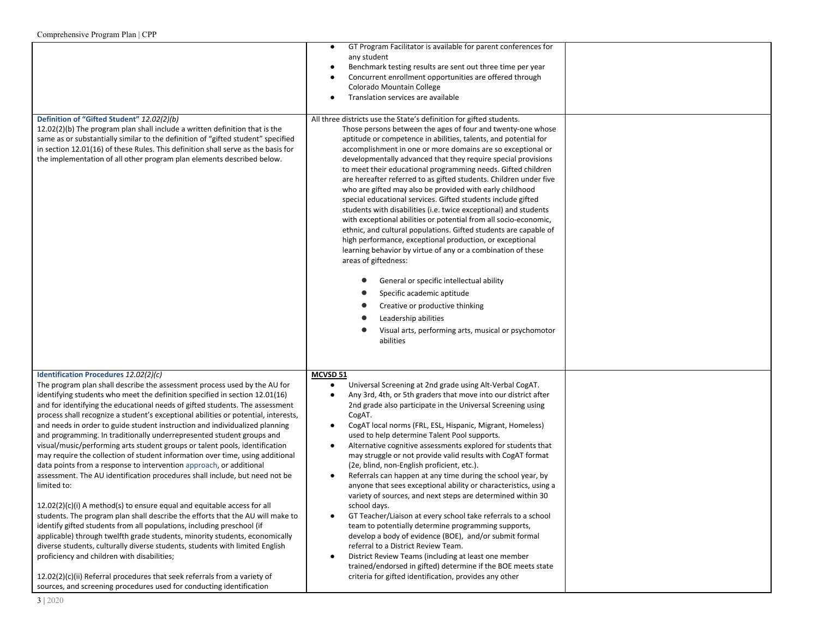|                                                                                                                                                                                                                                                                                                                                                                                                                                                                                                                                                                                                                                                                                                                                                                                                                                                                                                                                                                                                                                                                                                                                                                                                                                                                                                                                                                                                                                                                                | GT Program Facilitator is available for parent conferences for<br>$\bullet$<br>any student<br>Benchmark testing results are sent out three time per year<br>$\bullet$<br>Concurrent enrollment opportunities are offered through<br>$\bullet$<br>Colorado Mountain College<br>Translation services are available<br>$\bullet$                                                                                                                                                                                                                                                                                                                                                                                                                                                                                                                                                                                                                                                                                                                                                                                                                                                                                                     |  |
|--------------------------------------------------------------------------------------------------------------------------------------------------------------------------------------------------------------------------------------------------------------------------------------------------------------------------------------------------------------------------------------------------------------------------------------------------------------------------------------------------------------------------------------------------------------------------------------------------------------------------------------------------------------------------------------------------------------------------------------------------------------------------------------------------------------------------------------------------------------------------------------------------------------------------------------------------------------------------------------------------------------------------------------------------------------------------------------------------------------------------------------------------------------------------------------------------------------------------------------------------------------------------------------------------------------------------------------------------------------------------------------------------------------------------------------------------------------------------------|-----------------------------------------------------------------------------------------------------------------------------------------------------------------------------------------------------------------------------------------------------------------------------------------------------------------------------------------------------------------------------------------------------------------------------------------------------------------------------------------------------------------------------------------------------------------------------------------------------------------------------------------------------------------------------------------------------------------------------------------------------------------------------------------------------------------------------------------------------------------------------------------------------------------------------------------------------------------------------------------------------------------------------------------------------------------------------------------------------------------------------------------------------------------------------------------------------------------------------------|--|
| Definition of "Gifted Student" 12.02(2)(b)<br>12.02(2)(b) The program plan shall include a written definition that is the<br>same as or substantially similar to the definition of "gifted student" specified<br>in section 12.01(16) of these Rules. This definition shall serve as the basis for<br>the implementation of all other program plan elements described below.                                                                                                                                                                                                                                                                                                                                                                                                                                                                                                                                                                                                                                                                                                                                                                                                                                                                                                                                                                                                                                                                                                   | All three districts use the State's definition for gifted students.<br>Those persons between the ages of four and twenty-one whose<br>aptitude or competence in abilities, talents, and potential for<br>accomplishment in one or more domains are so exceptional or<br>developmentally advanced that they require special provisions<br>to meet their educational programming needs. Gifted children<br>are hereafter referred to as gifted students. Children under five<br>who are gifted may also be provided with early childhood<br>special educational services. Gifted students include gifted<br>students with disabilities (i.e. twice exceptional) and students<br>with exceptional abilities or potential from all socio-economic,<br>ethnic, and cultural populations. Gifted students are capable of<br>high performance, exceptional production, or exceptional<br>learning behavior by virtue of any or a combination of these<br>areas of giftedness:<br>General or specific intellectual ability<br>Specific academic aptitude<br>Creative or productive thinking<br>Leadership abilities<br>Visual arts, performing arts, musical or psychomotor<br>abilities                                                  |  |
| Identification Procedures 12.02(2)(c)<br>The program plan shall describe the assessment process used by the AU for<br>identifying students who meet the definition specified in section 12.01(16)<br>and for identifying the educational needs of gifted students. The assessment<br>process shall recognize a student's exceptional abilities or potential, interests,<br>and needs in order to guide student instruction and individualized planning<br>and programming. In traditionally underrepresented student groups and<br>visual/music/performing arts student groups or talent pools, identification<br>may require the collection of student information over time, using additional<br>data points from a response to intervention approach, or additional<br>assessment. The AU identification procedures shall include, but need not be<br>limited to:<br>12.02(2)(c)(i) A method(s) to ensure equal and equitable access for all<br>students. The program plan shall describe the efforts that the AU will make to<br>identify gifted students from all populations, including preschool (if<br>applicable) through twelfth grade students, minority students, economically<br>diverse students, culturally diverse students, students with limited English<br>proficiency and children with disabilities;<br>12.02(2)(c)(ii) Referral procedures that seek referrals from a variety of<br>sources, and screening procedures used for conducting identification | MCVSD 51<br>Universal Screening at 2nd grade using Alt-Verbal CogAT.<br>$\bullet$<br>Any 3rd, 4th, or 5th graders that move into our district after<br>$\bullet$<br>2nd grade also participate in the Universal Screening using<br>CogAT.<br>CogAT local norms (FRL, ESL, Hispanic, Migrant, Homeless)<br>$\bullet$<br>used to help determine Talent Pool supports.<br>Alternative cognitive assessments explored for students that<br>$\bullet$<br>may struggle or not provide valid results with CogAT format<br>(2e, blind, non-English proficient, etc.).<br>Referrals can happen at any time during the school year, by<br>$\bullet$<br>anyone that sees exceptional ability or characteristics, using a<br>variety of sources, and next steps are determined within 30<br>school days.<br>GT Teacher/Liaison at every school take referrals to a school<br>$\bullet$<br>team to potentially determine programming supports,<br>develop a body of evidence (BOE), and/or submit formal<br>referral to a District Review Team.<br>District Review Teams (including at least one member<br>$\bullet$<br>trained/endorsed in gifted) determine if the BOE meets state<br>criteria for gifted identification, provides any other |  |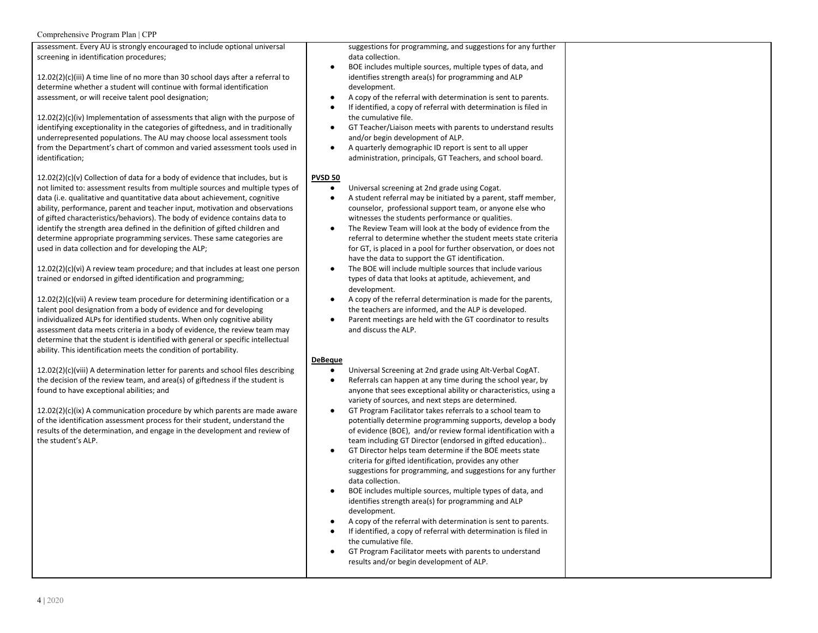assessment. Every AU is strongly encouraged to include optional universal screening in identification procedures;

12.02(2)(c)(iii) A time line of no more than 30 school days after a referral to determine whether a student will continue with formal identification assessment, or will receive talent pool designation;

12.02(2)(c)(iv) Implementation of assessments that align with the purpose of identifying exceptionality in the categories of giftedness, and in traditionally underrepresented populations. The AU may choose local assessment tools from the Department's chart of common and varied assessment tools used in identification;

 $12.02(2)(c)(v)$  Collection of data for a body of evidence that includes, but is not limited to: assessment results from multiple sources and multiple types of data (i.e. qualitative and quantitative data about achievement, cognitive ability, performance, parent and teacher input, motivation and observations of gifted characteristics/behaviors). The body of evidence contains data to identify the strength area defined in the definition of gifted children and determine appropriate programming services. These same categories are used in data collection and for developing the ALP;

12.02(2)(c)(vi) A review team procedure; and that includes at least one person trained or endorsed in gifted identification and programming;

12.02(2)(c)(vii) A review team procedure for determining identification or a talent pool designation from a body of evidence and for developing individualized ALPs for identified students. When only cognitive ability assessment data meets criteria in a body of evidence, the review team may determine that the student is identified with general or specific intellectual ability. This identification meets the condition of portability.

12.02(2)(c)(viii) A determination letter for parents and school files describing the decision of the review team, and area(s) of giftedness if the student is found to have exceptional abilities; and

12.02(2)(c)(ix) A communication procedure by which parents are made aware of the identification assessment process for their student, understand the results of the determination, and engage in the development and review of the student's ALP.

suggestions for programming, and suggestions for any further data collection.

- BOE includes multiple sources, multiple types of data, and identifies strength area(s) for programming and ALP development.
- A copy of the referral with determination is sent to parents.
- If identified, a copy of referral with determination is filed in the cumulative file.
- GT Teacher/Liaison meets with parents to understand results and/or begin development of ALP.
- A quarterly demographic ID report is sent to all upper administration, principals, GT Teachers, and school board.

#### **PVSD 50**

- Universal screening at 2nd grade using Cogat.
- A student referral may be initiated by a parent, staff member, counselor, professional support team, or anyone else who witnesses the students performance or qualities.
- The Review Team will look at the body of evidence from the referral to determine whether the student meets state criteria for GT, is placed in a pool for further observation, or does not have the data to support the GT identification.
- The BOE will include multiple sources that include various types of data that looks at aptitude, achievement, and development.
- A copy of the referral determination is made for the parents, the teachers are informed, and the ALP is developed.
- Parent meetings are held with the GT coordinator to results and discuss the ALP.

#### **DeBeque**

- Universal Screening at 2nd grade using Alt-Verbal CogAT.
- Referrals can happen at any time during the school year, by anyone that sees exceptional ability or characteristics, using a variety of sources, and next steps are determined.
- GT Program Facilitator takes referrals to a school team to potentially determine programming supports, develop a body of evidence (BOE), and/or review formal identification with a team including GT Director (endorsed in gifted education)..
- GT Director helps team determine if the BOE meets state criteria for gifted identification, provides any other suggestions for programming, and suggestions for any further data collection.
- BOE includes multiple sources, multiple types of data, and identifies strength area(s) for programming and ALP development.
- A copy of the referral with determination is sent to parents.
- If identified, a copy of referral with determination is filed in the cumulative file.
- GT Program Facilitator meets with parents to understand results and/or begin development of ALP.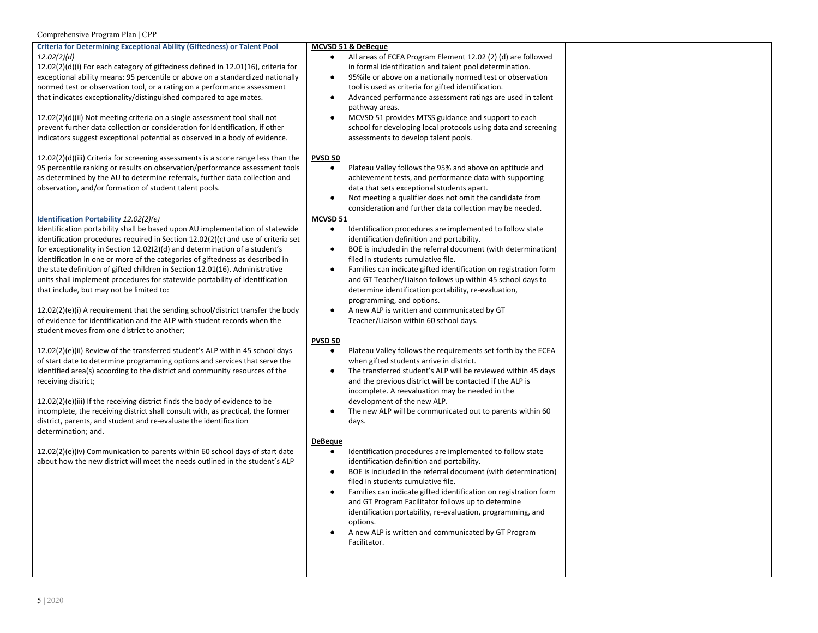| <b>Criteria for Determining Exceptional Ability (Giftedness) or Talent Pool</b>                                                                              | MCVSD 51 & DeBeque                                                                                                                          |  |
|--------------------------------------------------------------------------------------------------------------------------------------------------------------|---------------------------------------------------------------------------------------------------------------------------------------------|--|
| 12.02(2)(d)                                                                                                                                                  | All areas of ECEA Program Element 12.02 (2) (d) are followed<br>$\bullet$                                                                   |  |
| 12.02(2)(d)(i) For each category of giftedness defined in 12.01(16), criteria for                                                                            | in formal identification and talent pool determination.                                                                                     |  |
| exceptional ability means: 95 percentile or above on a standardized nationally                                                                               | 95%ile or above on a nationally normed test or observation<br>$\bullet$                                                                     |  |
| normed test or observation tool, or a rating on a performance assessment<br>that indicates exceptionality/distinguished compared to age mates.               | tool is used as criteria for gifted identification.                                                                                         |  |
|                                                                                                                                                              | Advanced performance assessment ratings are used in talent<br>$\bullet$<br>pathway areas.                                                   |  |
| 12.02(2)(d)(ii) Not meeting criteria on a single assessment tool shall not                                                                                   | MCVSD 51 provides MTSS guidance and support to each<br>٠                                                                                    |  |
| prevent further data collection or consideration for identification, if other                                                                                | school for developing local protocols using data and screening                                                                              |  |
| indicators suggest exceptional potential as observed in a body of evidence.                                                                                  | assessments to develop talent pools.                                                                                                        |  |
| $12.02(2)(d)(iii)$ Criteria for screening assessments is a score range less than the                                                                         | <b>PVSD 50</b>                                                                                                                              |  |
| 95 percentile ranking or results on observation/performance assessment tools                                                                                 | Plateau Valley follows the 95% and above on aptitude and<br>$\bullet$                                                                       |  |
| as determined by the AU to determine referrals, further data collection and                                                                                  | achievement tests, and performance data with supporting                                                                                     |  |
| observation, and/or formation of student talent pools.                                                                                                       | data that sets exceptional students apart.                                                                                                  |  |
|                                                                                                                                                              | Not meeting a qualifier does not omit the candidate from<br>$\bullet$                                                                       |  |
|                                                                                                                                                              | consideration and further data collection may be needed.                                                                                    |  |
| Identification Portability 12.02(2)(e)                                                                                                                       | MCVSD 51                                                                                                                                    |  |
| Identification portability shall be based upon AU implementation of statewide                                                                                | Identification procedures are implemented to follow state<br>$\bullet$                                                                      |  |
| identification procedures required in Section $12.02(2)(c)$ and use of criteria set                                                                          | identification definition and portability.                                                                                                  |  |
| for exceptionality in Section 12.02(2)(d) and determination of a student's                                                                                   | BOE is included in the referral document (with determination)<br>$\bullet$                                                                  |  |
| identification in one or more of the categories of giftedness as described in                                                                                | filed in students cumulative file.                                                                                                          |  |
| the state definition of gifted children in Section 12.01(16). Administrative<br>units shall implement procedures for statewide portability of identification | Families can indicate gifted identification on registration form<br>$\bullet$<br>and GT Teacher/Liaison follows up within 45 school days to |  |
| that include, but may not be limited to:                                                                                                                     | determine identification portability, re-evaluation,                                                                                        |  |
|                                                                                                                                                              | programming, and options.                                                                                                                   |  |
| 12.02(2)(e)(i) A requirement that the sending school/district transfer the body                                                                              | A new ALP is written and communicated by GT<br>$\bullet$                                                                                    |  |
| of evidence for identification and the ALP with student records when the                                                                                     | Teacher/Liaison within 60 school days.                                                                                                      |  |
| student moves from one district to another;                                                                                                                  |                                                                                                                                             |  |
|                                                                                                                                                              | <b>PVSD 50</b>                                                                                                                              |  |
| 12.02(2)(e)(ii) Review of the transferred student's ALP within 45 school days                                                                                | Plateau Valley follows the requirements set forth by the ECEA<br>$\bullet$                                                                  |  |
| of start date to determine programming options and services that serve the                                                                                   | when gifted students arrive in district.                                                                                                    |  |
| identified area(s) according to the district and community resources of the                                                                                  | The transferred student's ALP will be reviewed within 45 days<br>$\bullet$                                                                  |  |
| receiving district;                                                                                                                                          | and the previous district will be contacted if the ALP is                                                                                   |  |
|                                                                                                                                                              | incomplete. A reevaluation may be needed in the                                                                                             |  |
| 12.02(2)(e)(iii) If the receiving district finds the body of evidence to be                                                                                  | development of the new ALP.                                                                                                                 |  |
| incomplete, the receiving district shall consult with, as practical, the former                                                                              | The new ALP will be communicated out to parents within 60<br>$\bullet$                                                                      |  |
| district, parents, and student and re-evaluate the identification                                                                                            | days.                                                                                                                                       |  |
| determination; and.                                                                                                                                          |                                                                                                                                             |  |
| 12.02(2)(e)(iv) Communication to parents within 60 school days of start date                                                                                 | <b>DeBeque</b><br>Identification procedures are implemented to follow state<br>$\bullet$                                                    |  |
| about how the new district will meet the needs outlined in the student's ALP                                                                                 | identification definition and portability.                                                                                                  |  |
|                                                                                                                                                              | BOE is included in the referral document (with determination)<br>$\bullet$                                                                  |  |
|                                                                                                                                                              | filed in students cumulative file.                                                                                                          |  |
|                                                                                                                                                              | Families can indicate gifted identification on registration form<br>$\bullet$                                                               |  |
|                                                                                                                                                              | and GT Program Facilitator follows up to determine                                                                                          |  |
|                                                                                                                                                              | identification portability, re-evaluation, programming, and                                                                                 |  |
|                                                                                                                                                              | options.                                                                                                                                    |  |
|                                                                                                                                                              | A new ALP is written and communicated by GT Program                                                                                         |  |
|                                                                                                                                                              | Facilitator.                                                                                                                                |  |
|                                                                                                                                                              |                                                                                                                                             |  |
|                                                                                                                                                              |                                                                                                                                             |  |
|                                                                                                                                                              |                                                                                                                                             |  |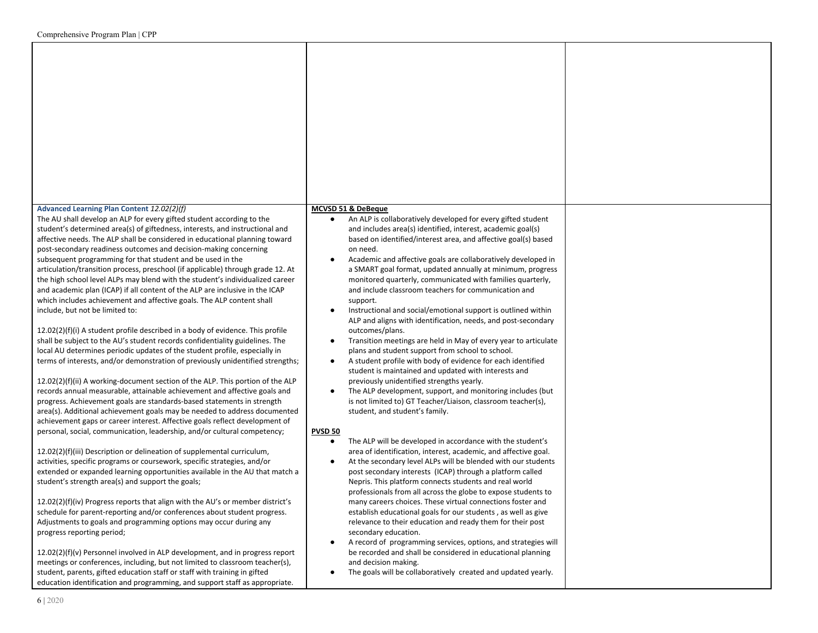### **Advanced Learning Plan Content** *12.02(2)(f)*

The AU shall develop an ALP for every gifted student according to the student's determined area(s) of giftedness, interests, and instructional and affective needs. The ALP shall be considered in educational planning toward post-secondary readiness outcomes and decision-making concerning subsequent programming for that student and be used in the articulation/transition process, preschool (if applicable) through grade 12. At the high school level ALPs may blend with the student's individualized career and academic plan (ICAP) if all content of the ALP are inclusive in the ICAP which includes achievement and affective goals. The ALP content shall include, but not be limited to:

12.02(2)(f)(i) A student profile described in a body of evidence. This profile shall be subject to the AU's student records confidentiality guidelines. The local AU determines periodic updates of the student profile, especially in terms of interests, and/or demonstration of previously unidentified strengths;

12.02(2)(f)(ii) A working-document section of the ALP. This portion of the ALP records annual measurable, attainable achievement and affective goals and progress. Achievement goals are standards-based statements in strength area(s). Additional achievement goals may be needed to address documented achievement gaps or career interest. Affective goals reflect development of personal, social, communication, leadership, and/or cultural competency;

12.02(2)(f)(iii) Description or delineation of supplemental curriculum, activities, specific programs or coursework, specific strategies, and/or extended or expanded learning opportunities available in the AU that match a student's strength area(s) and support the goals;

12.02(2)(f)(iv) Progress reports that align with the AU's or member district's schedule for parent-reporting and/or conferences about student progress. Adjustments to goals and programming options may occur during any progress reporting period;

12.02(2)(f)(v) Personnel involved in ALP development, and in progress report meetings or conferences, including, but not limited to classroom teacher(s), student, parents, gifted education staff or staff with training in gifted education identification and programming, and support staff as appropriate.

#### **MCVSD 51 & DeBeque**

| $\bullet$ | An ALP is collaboratively developed for every gifted student   |
|-----------|----------------------------------------------------------------|
|           | and includes area(s) identified, interest, academic goal(s)    |
|           | based on identified/interest area, and affective goal(s) based |
|           | on need.                                                       |

- Academic and affective goals are collaboratively developed in a SMART goal format, updated annually at minimum, progress monitored quarterly, communicated with families quarterly, and include classroom teachers for communication and support.
- Instructional and social/emotional support is outlined within ALP and aligns with identification, needs, and post-secondary outcomes/plans.
- Transition meetings are held in May of every year to articulate plans and student support from school to school.
- A student profile with body of evidence for each identified student is maintained and updated with interests and previously unidentified strengths yearly.
- The ALP development, support, and monitoring includes (but is not limited to) GT Teacher/Liaison, classroom teacher(s), student, and student's family.

#### **PVSD 50**

- The ALP will be developed in accordance with the student's area of identification, interest, academic, and affective goal.
- At the secondary level ALPs will be blended with our students post secondary interests (ICAP) through a platform called Nepris. This platform connects students and real world professionals from all across the globe to expose students to many careers choices. These virtual connections foster and establish educational goals for our students , as well as give relevance to their education and ready them for their post secondary education.
- A record of programming services, options, and strategies will be recorded and shall be considered in educational planning and decision making.
- The goals will be collaboratively created and updated yearly.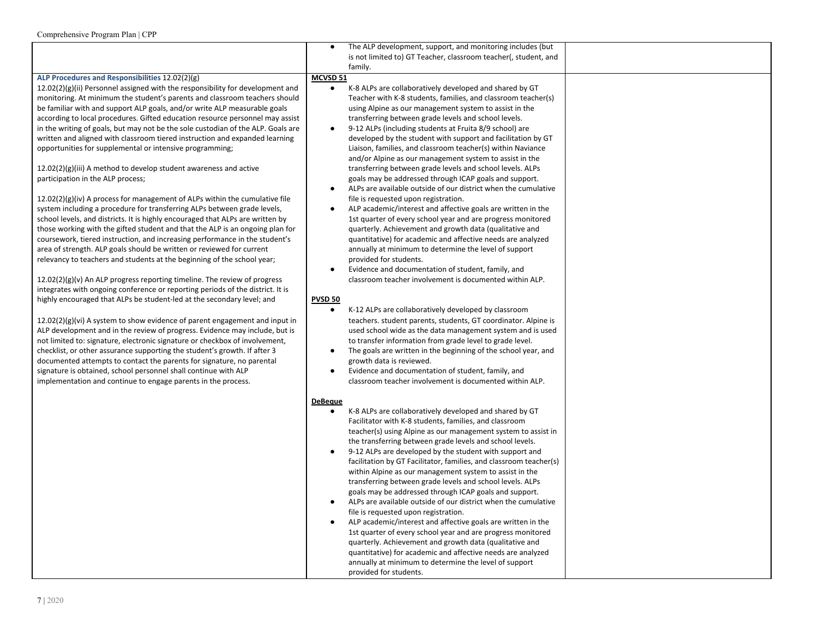|                                                                                  | The ALP development, support, and monitoring includes (but<br>$\bullet$     |
|----------------------------------------------------------------------------------|-----------------------------------------------------------------------------|
|                                                                                  | is not limited to) GT Teacher, classroom teacher(, student, and             |
|                                                                                  | family.                                                                     |
| ALP Procedures and Responsibilities 12.02(2)(g)                                  | MCVSD 51                                                                    |
| $12.02(2)(g)(ii)$ Personnel assigned with the responsibility for development and | K-8 ALPs are collaboratively developed and shared by GT<br>$\bullet$        |
| monitoring. At minimum the student's parents and classroom teachers should       | Teacher with K-8 students, families, and classroom teacher(s)               |
| be familiar with and support ALP goals, and/or write ALP measurable goals        | using Alpine as our management system to assist in the                      |
| according to local procedures. Gifted education resource personnel may assist    | transferring between grade levels and school levels.                        |
| in the writing of goals, but may not be the sole custodian of the ALP. Goals are | 9-12 ALPs (including students at Fruita 8/9 school) are<br>$\bullet$        |
|                                                                                  |                                                                             |
| written and aligned with classroom tiered instruction and expanded learning      | developed by the student with support and facilitation by GT                |
| opportunities for supplemental or intensive programming;                         | Liaison, families, and classroom teacher(s) within Naviance                 |
|                                                                                  | and/or Alpine as our management system to assist in the                     |
| $12.02(2)(g)(iii)$ A method to develop student awareness and active              | transferring between grade levels and school levels. ALPs                   |
| participation in the ALP process;                                                | goals may be addressed through ICAP goals and support.                      |
|                                                                                  | ALPs are available outside of our district when the cumulative<br>$\bullet$ |
| $12.02(2)(g)(iv)$ A process for management of ALPs within the cumulative file    | file is requested upon registration.                                        |
| system including a procedure for transferring ALPs between grade levels,         | ALP academic/interest and affective goals are written in the<br>٠           |
| school levels, and districts. It is highly encouraged that ALPs are written by   | 1st quarter of every school year and are progress monitored                 |
| those working with the gifted student and that the ALP is an ongoing plan for    | quarterly. Achievement and growth data (qualitative and                     |
| coursework, tiered instruction, and increasing performance in the student's      | quantitative) for academic and affective needs are analyzed                 |
| area of strength. ALP goals should be written or reviewed for current            | annually at minimum to determine the level of support                       |
|                                                                                  |                                                                             |
| relevancy to teachers and students at the beginning of the school year;          | provided for students.                                                      |
|                                                                                  | Evidence and documentation of student, family, and<br>$\bullet$             |
| $12.02(2)(g)(v)$ An ALP progress reporting timeline. The review of progress      | classroom teacher involvement is documented within ALP.                     |
| integrates with ongoing conference or reporting periods of the district. It is   |                                                                             |
| highly encouraged that ALPs be student-led at the secondary level; and           | <b>PVSD 50</b>                                                              |
|                                                                                  | K-12 ALPs are collaboratively developed by classroom<br>$\bullet$           |
| $12.02(2)(g)(vi)$ A system to show evidence of parent engagement and input in    | teachers. student parents, students, GT coordinator. Alpine is              |
| ALP development and in the review of progress. Evidence may include, but is      | used school wide as the data management system and is used                  |
| not limited to: signature, electronic signature or checkbox of involvement,      | to transfer information from grade level to grade level.                    |
| checklist, or other assurance supporting the student's growth. If after 3        | The goals are written in the beginning of the school year, and<br>$\bullet$ |
| documented attempts to contact the parents for signature, no parental            | growth data is reviewed.                                                    |
| signature is obtained, school personnel shall continue with ALP                  | Evidence and documentation of student, family, and<br>$\bullet$             |
|                                                                                  |                                                                             |
| implementation and continue to engage parents in the process.                    | classroom teacher involvement is documented within ALP.                     |
|                                                                                  |                                                                             |
|                                                                                  | <b>DeBeque</b>                                                              |
|                                                                                  | K-8 ALPs are collaboratively developed and shared by GT<br>$\bullet$        |
|                                                                                  | Facilitator with K-8 students, families, and classroom                      |
|                                                                                  | teacher(s) using Alpine as our management system to assist in               |
|                                                                                  | the transferring between grade levels and school levels.                    |
|                                                                                  | 9-12 ALPs are developed by the student with support and<br>$\bullet$        |
|                                                                                  | facilitation by GT Facilitator, families, and classroom teacher(s)          |
|                                                                                  | within Alpine as our management system to assist in the                     |
|                                                                                  | transferring between grade levels and school levels. ALPs                   |
|                                                                                  | goals may be addressed through ICAP goals and support.                      |
|                                                                                  | ALPs are available outside of our district when the cumulative              |
|                                                                                  | file is requested upon registration.                                        |
|                                                                                  |                                                                             |
|                                                                                  | ALP academic/interest and affective goals are written in the<br>$\bullet$   |
|                                                                                  | 1st quarter of every school year and are progress monitored                 |
|                                                                                  | quarterly. Achievement and growth data (qualitative and                     |
|                                                                                  | quantitative) for academic and affective needs are analyzed                 |
|                                                                                  | annually at minimum to determine the level of support                       |
|                                                                                  | provided for students.                                                      |
|                                                                                  |                                                                             |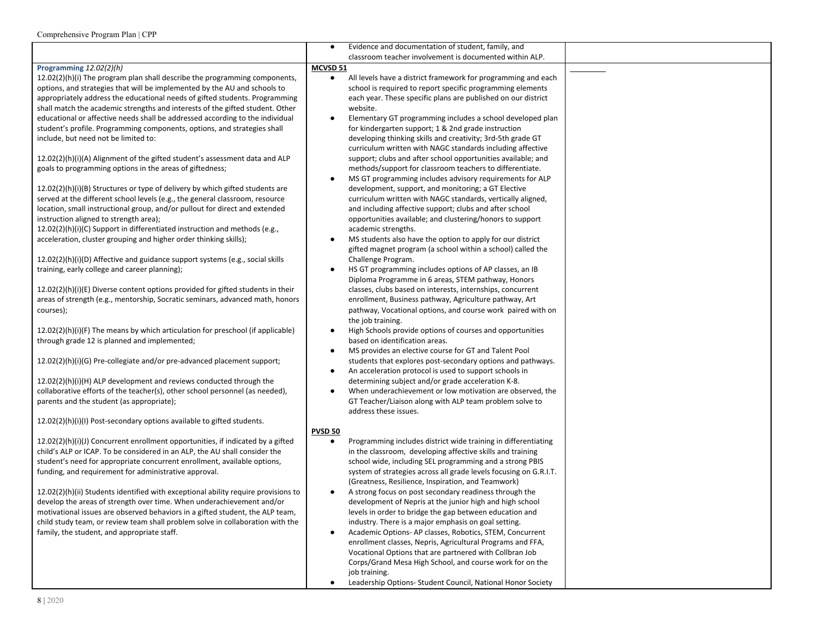|                                                                                    | $\bullet$      | Evidence and documentation of student, family, and                                                                    |  |
|------------------------------------------------------------------------------------|----------------|-----------------------------------------------------------------------------------------------------------------------|--|
|                                                                                    |                | classroom teacher involvement is documented within ALP.                                                               |  |
| Programming 12.02(2)(h)                                                            | MCVSD 51       |                                                                                                                       |  |
| 12.02(2)(h)(i) The program plan shall describe the programming components,         | $\bullet$      | All levels have a district framework for programming and each                                                         |  |
| options, and strategies that will be implemented by the AU and schools to          |                | school is required to report specific programming elements                                                            |  |
| appropriately address the educational needs of gifted students. Programming        |                | each year. These specific plans are published on our district                                                         |  |
| shall match the academic strengths and interests of the gifted student. Other      |                | website.                                                                                                              |  |
| educational or affective needs shall be addressed according to the individual      | $\bullet$      | Elementary GT programming includes a school developed plan                                                            |  |
| student's profile. Programming components, options, and strategies shall           |                | for kindergarten support; 1 & 2nd grade instruction                                                                   |  |
| include, but need not be limited to:                                               |                | developing thinking skills and creativity; 3rd-5th grade GT                                                           |  |
|                                                                                    |                | curriculum written with NAGC standards including affective                                                            |  |
| $12.02(2)(h)(i)(A)$ Alignment of the gifted student's assessment data and ALP      |                | support; clubs and after school opportunities available; and                                                          |  |
| goals to programming options in the areas of giftedness;                           |                | methods/support for classroom teachers to differentiate.                                                              |  |
|                                                                                    |                | MS GT programming includes advisory requirements for ALP                                                              |  |
| $12.02(2)(h)(i)(B)$ Structures or type of delivery by which gifted students are    |                | development, support, and monitoring; a GT Elective                                                                   |  |
| served at the different school levels (e.g., the general classroom, resource       |                | curriculum written with NAGC standards, vertically aligned,                                                           |  |
| location, small instructional group, and/or pullout for direct and extended        |                | and including affective support; clubs and after school                                                               |  |
| instruction aligned to strength area);                                             |                | opportunities available; and clustering/honors to support                                                             |  |
| 12.02(2)(h)(i)(C) Support in differentiated instruction and methods (e.g.,         |                | academic strengths.                                                                                                   |  |
| acceleration, cluster grouping and higher order thinking skills);                  |                | MS students also have the option to apply for our district                                                            |  |
|                                                                                    |                | gifted magnet program (a school within a school) called the                                                           |  |
| 12.02(2)(h)(i)(D) Affective and guidance support systems (e.g., social skills      |                | Challenge Program.                                                                                                    |  |
| training, early college and career planning);                                      | ٠              | HS GT programming includes options of AP classes, an IB                                                               |  |
|                                                                                    |                | Diploma Programme in 6 areas, STEM pathway, Honors                                                                    |  |
| $12.02(2)(h)(i)(E)$ Diverse content options provided for gifted students in their  |                | classes, clubs based on interests, internships, concurrent                                                            |  |
| areas of strength (e.g., mentorship, Socratic seminars, advanced math, honors      |                | enrollment, Business pathway, Agriculture pathway, Art<br>pathway, Vocational options, and course work paired with on |  |
| courses);                                                                          |                |                                                                                                                       |  |
| 12.02(2)(h)(i)(F) The means by which articulation for preschool (if applicable)    |                | the job training.                                                                                                     |  |
| through grade 12 is planned and implemented;                                       |                | High Schools provide options of courses and opportunities<br>based on identification areas.                           |  |
|                                                                                    |                | MS provides an elective course for GT and Talent Pool                                                                 |  |
| 12.02(2)(h)(i)(G) Pre-collegiate and/or pre-advanced placement support;            |                | students that explores post-secondary options and pathways.                                                           |  |
|                                                                                    | ٠              | An acceleration protocol is used to support schools in                                                                |  |
| 12.02(2)(h)(i)(H) ALP development and reviews conducted through the                |                | determining subject and/or grade acceleration K-8.                                                                    |  |
| collaborative efforts of the teacher(s), other school personnel (as needed),       | $\bullet$      | When underachievement or low motivation are observed, the                                                             |  |
| parents and the student (as appropriate);                                          |                | GT Teacher/Liaison along with ALP team problem solve to                                                               |  |
|                                                                                    |                | address these issues.                                                                                                 |  |
| 12.02(2)(h)(i)(l) Post-secondary options available to gifted students.             |                |                                                                                                                       |  |
|                                                                                    | <b>PVSD 50</b> |                                                                                                                       |  |
| 12.02(2)(h)(i)(J) Concurrent enrollment opportunities, if indicated by a gifted    | $\bullet$      | Programming includes district wide training in differentiating                                                        |  |
| child's ALP or ICAP. To be considered in an ALP, the AU shall consider the         |                | in the classroom, developing affective skills and training                                                            |  |
| student's need for appropriate concurrent enrollment, available options,           |                | school wide, including SEL programming and a strong PBIS                                                              |  |
| funding, and requirement for administrative approval.                              |                | system of strategies across all grade levels focusing on G.R.I.T.                                                     |  |
|                                                                                    |                | (Greatness, Resilience, Inspiration, and Teamwork)                                                                    |  |
| 12.02(2)(h)(ii) Students identified with exceptional ability require provisions to |                | A strong focus on post secondary readiness through the                                                                |  |
| develop the areas of strength over time. When underachievement and/or              |                | development of Nepris at the junior high and high school                                                              |  |
| motivational issues are observed behaviors in a gifted student, the ALP team,      |                | levels in order to bridge the gap between education and                                                               |  |
| child study team, or review team shall problem solve in collaboration with the     |                | industry. There is a major emphasis on goal setting.                                                                  |  |
| family, the student, and appropriate staff.                                        |                | Academic Options-AP classes, Robotics, STEM, Concurrent                                                               |  |
|                                                                                    |                | enrollment classes, Nepris, Agricultural Programs and FFA,                                                            |  |
|                                                                                    |                | Vocational Options that are partnered with Collbran Job                                                               |  |
|                                                                                    |                | Corps/Grand Mesa High School, and course work for on the                                                              |  |
|                                                                                    |                | job training.                                                                                                         |  |
|                                                                                    |                | Leadership Options- Student Council, National Honor Society                                                           |  |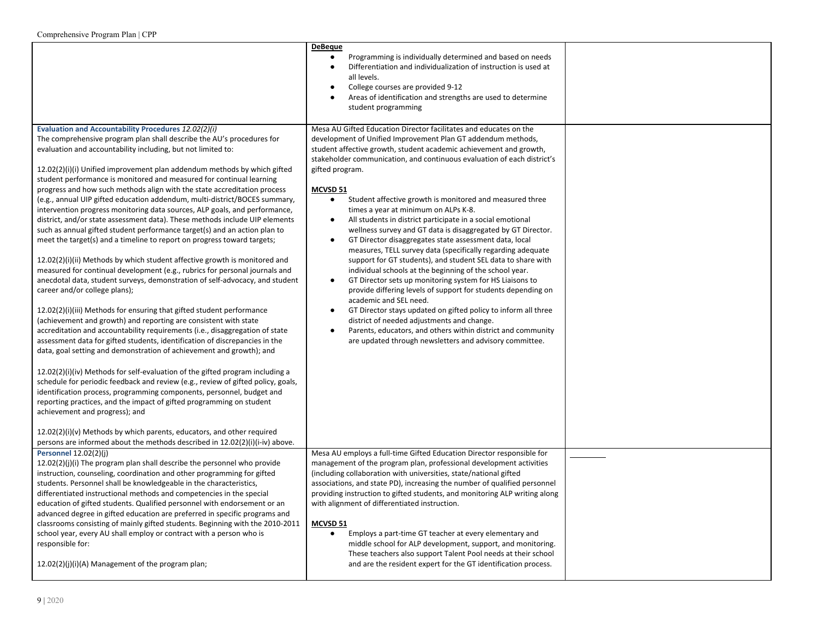|                                                                                                                                                                                                                                                                                                                                                                                                                                                                                                                                                                                                                                                                                                                                                                                                                                                                                                                                                                                                                                                                                                                                                                                                                                                                                                                                                                                                                                                                                                                                                                                                                                                                                                                                                                                                                                                                                                                                                                                                                          | <b>DeBeque</b><br>Programming is individually determined and based on needs<br>$\bullet$<br>Differentiation and individualization of instruction is used at<br>$\bullet$<br>all levels.<br>College courses are provided 9-12<br>Areas of identification and strengths are used to determine<br>student programming                                                                                                                                                                                                                                                                                                                                                                                                                                                                                                                                                                                                                                                                                                                                                                                                                                                                                                                                                                             |  |
|--------------------------------------------------------------------------------------------------------------------------------------------------------------------------------------------------------------------------------------------------------------------------------------------------------------------------------------------------------------------------------------------------------------------------------------------------------------------------------------------------------------------------------------------------------------------------------------------------------------------------------------------------------------------------------------------------------------------------------------------------------------------------------------------------------------------------------------------------------------------------------------------------------------------------------------------------------------------------------------------------------------------------------------------------------------------------------------------------------------------------------------------------------------------------------------------------------------------------------------------------------------------------------------------------------------------------------------------------------------------------------------------------------------------------------------------------------------------------------------------------------------------------------------------------------------------------------------------------------------------------------------------------------------------------------------------------------------------------------------------------------------------------------------------------------------------------------------------------------------------------------------------------------------------------------------------------------------------------------------------------------------------------|------------------------------------------------------------------------------------------------------------------------------------------------------------------------------------------------------------------------------------------------------------------------------------------------------------------------------------------------------------------------------------------------------------------------------------------------------------------------------------------------------------------------------------------------------------------------------------------------------------------------------------------------------------------------------------------------------------------------------------------------------------------------------------------------------------------------------------------------------------------------------------------------------------------------------------------------------------------------------------------------------------------------------------------------------------------------------------------------------------------------------------------------------------------------------------------------------------------------------------------------------------------------------------------------|--|
| Evaluation and Accountability Procedures 12.02(2)(i)<br>The comprehensive program plan shall describe the AU's procedures for<br>evaluation and accountability including, but not limited to:<br>$12.02(2)(i)(i)$ Unified improvement plan addendum methods by which gifted<br>student performance is monitored and measured for continual learning<br>progress and how such methods align with the state accreditation process<br>(e.g., annual UIP gifted education addendum, multi-district/BOCES summary,<br>intervention progress monitoring data sources, ALP goals, and performance,<br>district, and/or state assessment data). These methods include UIP elements<br>such as annual gifted student performance target(s) and an action plan to<br>meet the target(s) and a timeline to report on progress toward targets;<br>12.02(2)(i)(ii) Methods by which student affective growth is monitored and<br>measured for continual development (e.g., rubrics for personal journals and<br>anecdotal data, student surveys, demonstration of self-advocacy, and student<br>career and/or college plans);<br>12.02(2)(i)(iii) Methods for ensuring that gifted student performance<br>(achievement and growth) and reporting are consistent with state<br>accreditation and accountability requirements (i.e., disaggregation of state<br>assessment data for gifted students, identification of discrepancies in the<br>data, goal setting and demonstration of achievement and growth); and<br>$12.02(2)(i)(iv)$ Methods for self-evaluation of the gifted program including a<br>schedule for periodic feedback and review (e.g., review of gifted policy, goals,<br>identification process, programming components, personnel, budget and<br>reporting practices, and the impact of gifted programming on student<br>achievement and progress); and<br>12.02(2)(i)(v) Methods by which parents, educators, and other required<br>persons are informed about the methods described in 12.02(2)(i)(i-iv) above. | Mesa AU Gifted Education Director facilitates and educates on the<br>development of Unified Improvement Plan GT addendum methods,<br>student affective growth, student academic achievement and growth,<br>stakeholder communication, and continuous evaluation of each district's<br>gifted program.<br><b>MCVSD 51</b><br>Student affective growth is monitored and measured three<br>$\bullet$<br>times a year at minimum on ALPs K-8.<br>All students in district participate in a social emotional<br>$\bullet$<br>wellness survey and GT data is disaggregated by GT Director.<br>GT Director disaggregates state assessment data, local<br>$\bullet$<br>measures, TELL survey data (specifically regarding adequate<br>support for GT students), and student SEL data to share with<br>individual schools at the beginning of the school year.<br>GT Director sets up monitoring system for HS Liaisons to<br>$\bullet$<br>provide differing levels of support for students depending on<br>academic and SEL need.<br>GT Director stays updated on gifted policy to inform all three<br>$\bullet$<br>district of needed adjustments and change.<br>Parents, educators, and others within district and community<br>$\bullet$<br>are updated through newsletters and advisory committee. |  |
| <b>Personnel 12.02(2)(j)</b><br>12.02(2)(j)(i) The program plan shall describe the personnel who provide<br>instruction, counseling, coordination and other programming for gifted<br>students. Personnel shall be knowledgeable in the characteristics,<br>differentiated instructional methods and competencies in the special<br>education of gifted students. Qualified personnel with endorsement or an<br>advanced degree in gifted education are preferred in specific programs and<br>classrooms consisting of mainly gifted students. Beginning with the 2010-2011<br>school year, every AU shall employ or contract with a person who is<br>responsible for:<br>$12.02(2)(i)(i)(A)$ Management of the program plan;                                                                                                                                                                                                                                                                                                                                                                                                                                                                                                                                                                                                                                                                                                                                                                                                                                                                                                                                                                                                                                                                                                                                                                                                                                                                                            | Mesa AU employs a full-time Gifted Education Director responsible for<br>management of the program plan, professional development activities<br>(including collaboration with universities, state/national gifted<br>associations, and state PD), increasing the number of qualified personnel<br>providing instruction to gifted students, and monitoring ALP writing along<br>with alignment of differentiated instruction.<br>MCVSD 51<br>Employs a part-time GT teacher at every elementary and<br>$\bullet$<br>middle school for ALP development, support, and monitoring.<br>These teachers also support Talent Pool needs at their school<br>and are the resident expert for the GT identification process.                                                                                                                                                                                                                                                                                                                                                                                                                                                                                                                                                                             |  |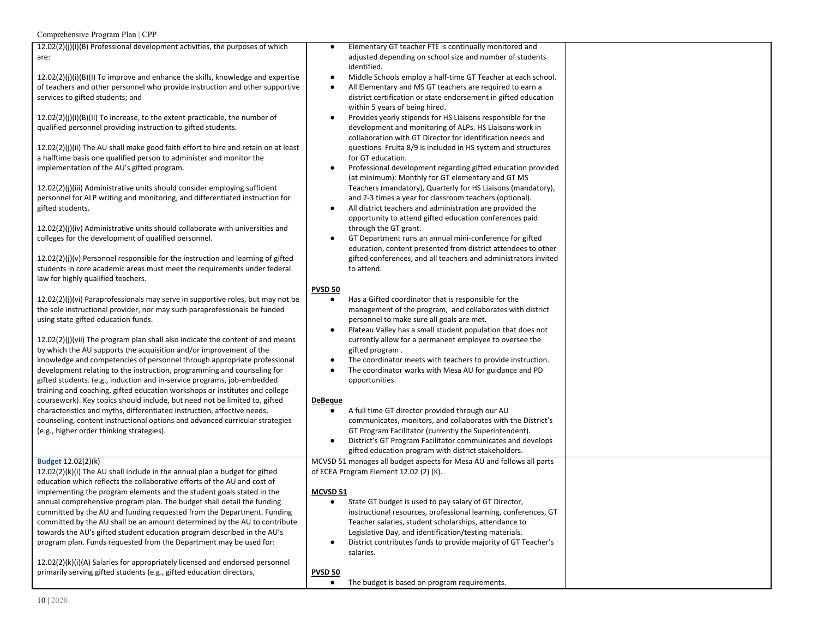| Comprehensive Program Plan   CPP |  |  |  |
|----------------------------------|--|--|--|
|----------------------------------|--|--|--|

| 12.02(2)(j)(i)(B) Professional development activities, the purposes of which       | Elementary GT teacher FTE is continually monitored and<br>$\bullet$         |  |
|------------------------------------------------------------------------------------|-----------------------------------------------------------------------------|--|
| are:                                                                               | adjusted depending on school size and number of students                    |  |
|                                                                                    | identified.                                                                 |  |
|                                                                                    |                                                                             |  |
| $12.02(2)(j)(i)(B)(l)$ To improve and enhance the skills, knowledge and expertise  | Middle Schools employ a half-time GT Teacher at each school.<br>$\bullet$   |  |
| of teachers and other personnel who provide instruction and other supportive       | All Elementary and MS GT teachers are required to earn a                    |  |
| services to gifted students; and                                                   | district certification or state endorsement in gifted education             |  |
|                                                                                    | within 5 years of being hired.                                              |  |
| $12.02(2)(j)(i)(B)(II)$ To increase, to the extent practicable, the number of      | Provides yearly stipends for HS Liaisons responsible for the                |  |
| qualified personnel providing instruction to gifted students.                      | development and monitoring of ALPs. HS Liaisons work in                     |  |
|                                                                                    |                                                                             |  |
|                                                                                    | collaboration with GT Director for identification needs and                 |  |
| 12.02(2)(j)(ii) The AU shall make good faith effort to hire and retain on at least | questions. Fruita 8/9 is included in HS system and structures               |  |
| a halftime basis one qualified person to administer and monitor the                | for GT education.                                                           |  |
| implementation of the AU's gifted program.                                         | Professional development regarding gifted education provided<br>٠           |  |
|                                                                                    | (at minimum): Monthly for GT elementary and GT MS                           |  |
|                                                                                    |                                                                             |  |
| 12.02(2)(j)(iii) Administrative units should consider employing sufficient         | Teachers (mandatory), Quarterly for HS Liaisons (mandatory),                |  |
| personnel for ALP writing and monitoring, and differentiated instruction for       | and 2-3 times a year for classroom teachers (optional).                     |  |
| gifted students.                                                                   | All district teachers and administration are provided the<br>٠              |  |
|                                                                                    | opportunity to attend gifted education conferences paid                     |  |
| 12.02(2)(j)(iv) Administrative units should collaborate with universities and      | through the GT grant.                                                       |  |
| colleges for the development of qualified personnel.                               | GT Department runs an annual mini-conference for gifted<br>$\bullet$        |  |
|                                                                                    |                                                                             |  |
|                                                                                    | education, content presented from district attendees to other               |  |
| $12.02(2)(j)(v)$ Personnel responsible for the instruction and learning of gifted  | gifted conferences, and all teachers and administrators invited             |  |
| students in core academic areas must meet the requirements under federal           | to attend.                                                                  |  |
| law for highly qualified teachers.                                                 |                                                                             |  |
|                                                                                    | <b>PVSD 50</b>                                                              |  |
|                                                                                    |                                                                             |  |
| $12.02(2)(j)(vi)$ Paraprofessionals may serve in supportive roles, but may not be  | Has a Gifted coordinator that is responsible for the<br>$\bullet$           |  |
| the sole instructional provider, nor may such paraprofessionals be funded          | management of the program, and collaborates with district                   |  |
| using state gifted education funds.                                                | personnel to make sure all goals are met.                                   |  |
|                                                                                    | Plateau Valley has a small student population that does not<br>$\bullet$    |  |
| $12.02(2)(j)(vii)$ The program plan shall also indicate the content of and means   | currently allow for a permanent employee to oversee the                     |  |
| by which the AU supports the acquisition and/or improvement of the                 |                                                                             |  |
|                                                                                    | gifted program.                                                             |  |
| knowledge and competencies of personnel through appropriate professional           | The coordinator meets with teachers to provide instruction.                 |  |
| development relating to the instruction, programming and counseling for            | The coordinator works with Mesa AU for guidance and PD<br>$\bullet$         |  |
| gifted students. (e.g., induction and in-service programs, job-embedded            | opportunities.                                                              |  |
| training and coaching, gifted education workshops or institutes and college        |                                                                             |  |
| coursework). Key topics should include, but need not be limited to, gifted         | <b>DeBeque</b>                                                              |  |
|                                                                                    |                                                                             |  |
| characteristics and myths, differentiated instruction, affective needs,            | A full time GT director provided through our AU<br>$\bullet$                |  |
| counseling, content instructional options and advanced curricular strategies       | communicates, monitors, and collaborates with the District's                |  |
| (e.g., higher order thinking strategies).                                          | GT Program Facilitator (currently the Superintendent).                      |  |
|                                                                                    | District's GT Program Facilitator communicates and develops<br>$\bullet$    |  |
|                                                                                    | gifted education program with district stakeholders.                        |  |
| Budget 12.02(2)(k)                                                                 | MCVSD 51 manages all budget aspects for Mesa AU and follows all parts       |  |
|                                                                                    |                                                                             |  |
| 12.02(2)(k)(i) The AU shall include in the annual plan a budget for gifted         | of ECEA Program Element 12.02 (2) (K).                                      |  |
| education which reflects the collaborative efforts of the AU and cost of           |                                                                             |  |
| implementing the program elements and the student goals stated in the              | MCVSD 51                                                                    |  |
| annual comprehensive program plan. The budget shall detail the funding             | State GT budget is used to pay salary of GT Director,                       |  |
| committed by the AU and funding requested from the Department. Funding             | instructional resources, professional learning, conferences, GT             |  |
| committed by the AU shall be an amount determined by the AU to contribute          | Teacher salaries, student scholarships, attendance to                       |  |
|                                                                                    |                                                                             |  |
| towards the AU's gifted student education program described in the AU's            | Legislative Day, and identification/testing materials.                      |  |
| program plan. Funds requested from the Department may be used for:                 | District contributes funds to provide majority of GT Teacher's<br>$\bullet$ |  |
|                                                                                    | salaries.                                                                   |  |
| 12.02(2)(k)(i)(A) Salaries for appropriately licensed and endorsed personnel       |                                                                             |  |
| primarily serving gifted students (e.g., gifted education directors,               | <b>PVSD 50</b>                                                              |  |
|                                                                                    | The budget is based on program requirements.<br>$\bullet$                   |  |
|                                                                                    |                                                                             |  |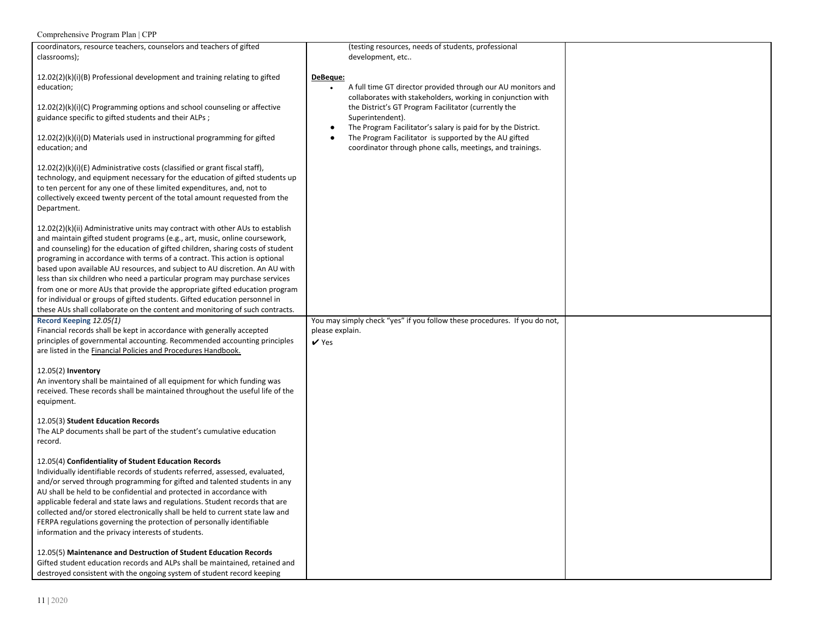| coordinators, resource teachers, counselors and teachers of gifted<br>classrooms);                                                                                                                                                                                                                                                                                                                                                                                                                                                                                                                                                                                                                                                     | (testing resources, needs of students, professional<br>development, etc                                                                                                                                                                                                                                                                                    |  |
|----------------------------------------------------------------------------------------------------------------------------------------------------------------------------------------------------------------------------------------------------------------------------------------------------------------------------------------------------------------------------------------------------------------------------------------------------------------------------------------------------------------------------------------------------------------------------------------------------------------------------------------------------------------------------------------------------------------------------------------|------------------------------------------------------------------------------------------------------------------------------------------------------------------------------------------------------------------------------------------------------------------------------------------------------------------------------------------------------------|--|
| $12.02(2)(k)(i)(B)$ Professional development and training relating to gifted<br>education;<br>$12.02(2)(k)(i)(C)$ Programming options and school counseling or affective<br>guidance specific to gifted students and their ALPs;<br>12.02(2)(k)(i)(D) Materials used in instructional programming for gifted                                                                                                                                                                                                                                                                                                                                                                                                                           | DeBeque:<br>A full time GT director provided through our AU monitors and<br>collaborates with stakeholders, working in conjunction with<br>the District's GT Program Facilitator (currently the<br>Superintendent).<br>The Program Facilitator's salary is paid for by the District.<br>$\bullet$<br>The Program Facilitator is supported by the AU gifted |  |
| education; and<br>12.02(2)(k)(i)(E) Administrative costs (classified or grant fiscal staff),<br>technology, and equipment necessary for the education of gifted students up<br>to ten percent for any one of these limited expenditures, and, not to<br>collectively exceed twenty percent of the total amount requested from the<br>Department.                                                                                                                                                                                                                                                                                                                                                                                       | coordinator through phone calls, meetings, and trainings.                                                                                                                                                                                                                                                                                                  |  |
| $12.02(2)(k)(ii)$ Administrative units may contract with other AUs to establish<br>and maintain gifted student programs (e.g., art, music, online coursework,<br>and counseling) for the education of gifted children, sharing costs of student<br>programing in accordance with terms of a contract. This action is optional<br>based upon available AU resources, and subject to AU discretion. An AU with<br>less than six children who need a particular program may purchase services<br>from one or more AUs that provide the appropriate gifted education program<br>for individual or groups of gifted students. Gifted education personnel in<br>these AUs shall collaborate on the content and monitoring of such contracts. |                                                                                                                                                                                                                                                                                                                                                            |  |
| Record Keeping 12.05(1)<br>Financial records shall be kept in accordance with generally accepted<br>principles of governmental accounting. Recommended accounting principles<br>are listed in the Financial Policies and Procedures Handbook.                                                                                                                                                                                                                                                                                                                                                                                                                                                                                          | You may simply check "yes" if you follow these procedures. If you do not,<br>please explain.<br>$\vee$ Yes                                                                                                                                                                                                                                                 |  |
| 12.05(2) Inventory<br>An inventory shall be maintained of all equipment for which funding was<br>received. These records shall be maintained throughout the useful life of the<br>equipment.                                                                                                                                                                                                                                                                                                                                                                                                                                                                                                                                           |                                                                                                                                                                                                                                                                                                                                                            |  |
| 12.05(3) Student Education Records<br>The ALP documents shall be part of the student's cumulative education<br>record.                                                                                                                                                                                                                                                                                                                                                                                                                                                                                                                                                                                                                 |                                                                                                                                                                                                                                                                                                                                                            |  |
| 12.05(4) Confidentiality of Student Education Records<br>Individually identifiable records of students referred, assessed, evaluated,<br>and/or served through programming for gifted and talented students in any<br>AU shall be held to be confidential and protected in accordance with<br>applicable federal and state laws and regulations. Student records that are<br>collected and/or stored electronically shall be held to current state law and<br>FERPA regulations governing the protection of personally identifiable<br>information and the privacy interests of students.                                                                                                                                              |                                                                                                                                                                                                                                                                                                                                                            |  |
| 12.05(5) Maintenance and Destruction of Student Education Records<br>Gifted student education records and ALPs shall be maintained, retained and<br>destroyed consistent with the ongoing system of student record keeping                                                                                                                                                                                                                                                                                                                                                                                                                                                                                                             |                                                                                                                                                                                                                                                                                                                                                            |  |